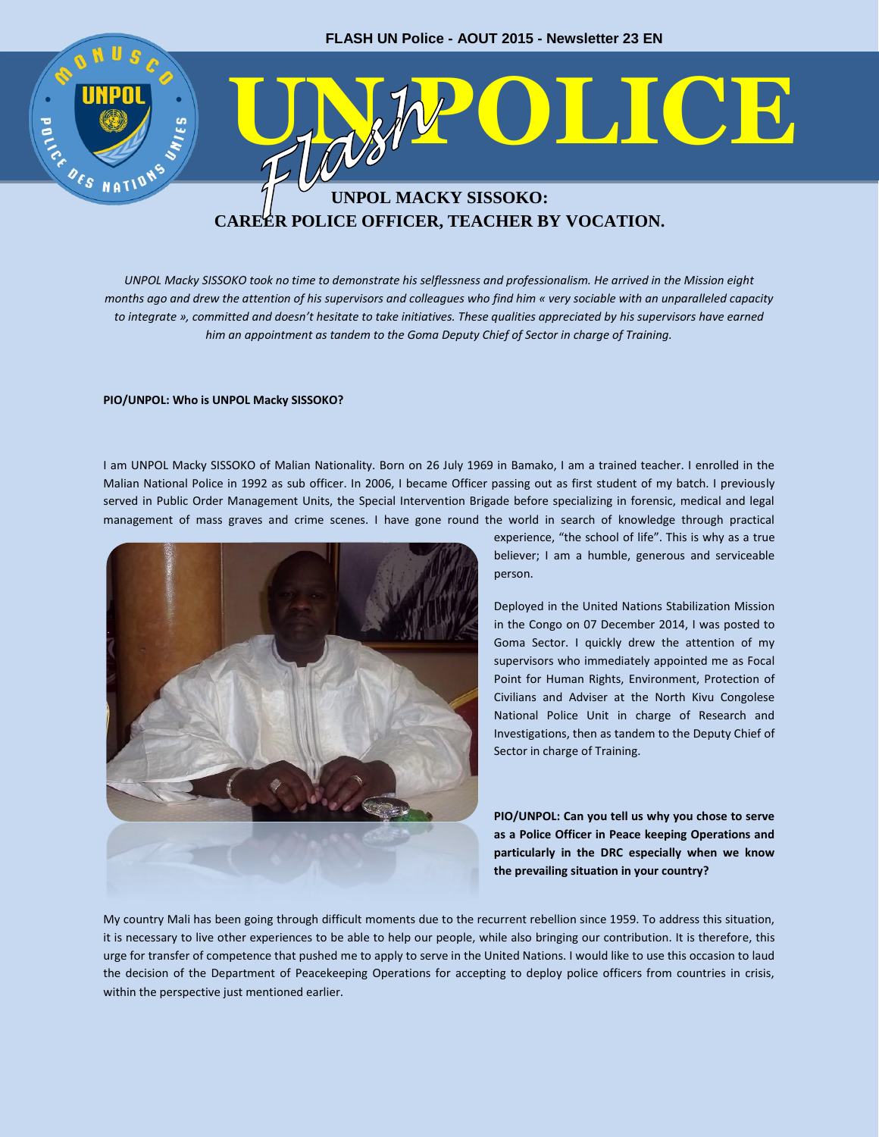

**CAREER POLICE OFFICER, TEACHER BY VOCATION.**

*UNPOL Macky SISSOKO took no time to demonstrate his selflessness and professionalism. He arrived in the Mission eight months ago and drew the attention of his supervisors and colleagues who find him « very sociable with an unparalleled capacity to integrate », committed and doesn't hesitate to take initiatives. These qualities appreciated by his supervisors have earned him an appointment as tandem to the Goma Deputy Chief of Sector in charge of Training.*

## **PIO/UNPOL: Who is UNPOL Macky SISSOKO?**

I am UNPOL Macky SISSOKO of Malian Nationality. Born on 26 July 1969 in Bamako, I am a trained teacher. I enrolled in the Malian National Police in 1992 as sub officer. In 2006, I became Officer passing out as first student of my batch. I previously served in Public Order Management Units, the Special Intervention Brigade before specializing in forensic, medical and legal management of mass graves and crime scenes. I have gone round the world in search of knowledge through practical



experience, "the school of life". This is why as a true believer; I am a humble, generous and serviceable person.

Deployed in the United Nations Stabilization Mission in the Congo on 07 December 2014, I was posted to Goma Sector. I quickly drew the attention of my supervisors who immediately appointed me as Focal Point for Human Rights, Environment, Protection of Civilians and Adviser at the North Kivu Congolese National Police Unit in charge of Research and Investigations, then as tandem to the Deputy Chief of Sector in charge of Training.

**PIO/UNPOL: Can you tell us why you chose to serve as a Police Officer in Peace keeping Operations and particularly in the DRC especially when we know the prevailing situation in your country?**

My country Mali has been going through difficult moments due to the recurrent rebellion since 1959. To address this situation, it is necessary to live other experiences to be able to help our people, while also bringing our contribution. It is therefore, this urge for transfer of competence that pushed me to apply to serve in the United Nations. I would like to use this occasion to laud the decision of the Department of Peacekeeping Operations for accepting to deploy police officers from countries in crisis, within the perspective just mentioned earlier.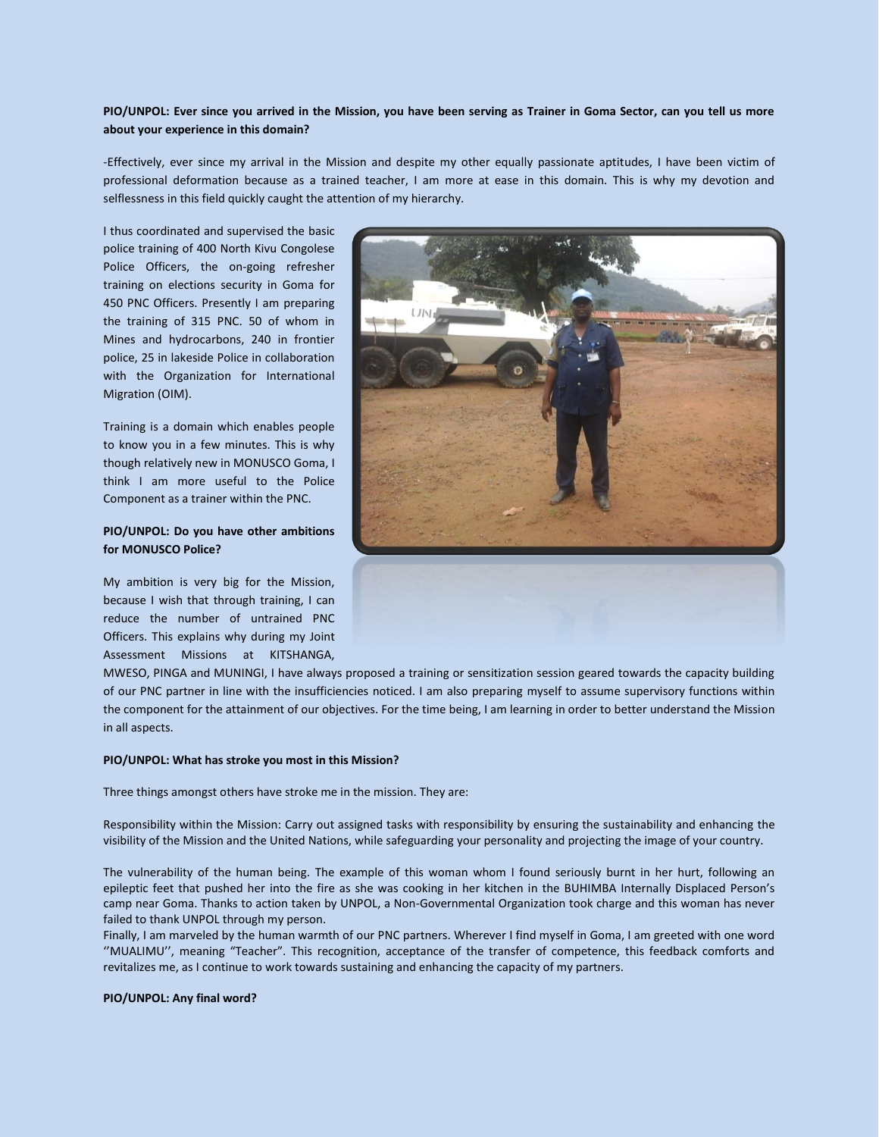## **PIO/UNPOL: Ever since you arrived in the Mission, you have been serving as Trainer in Goma Sector, can you tell us more about your experience in this domain?**

-Effectively, ever since my arrival in the Mission and despite my other equally passionate aptitudes, I have been victim of professional deformation because as a trained teacher, I am more at ease in this domain. This is why my devotion and selflessness in this field quickly caught the attention of my hierarchy.

I thus coordinated and supervised the basic police training of 400 North Kivu Congolese Police Officers, the on-going refresher training on elections security in Goma for 450 PNC Officers. Presently I am preparing the training of 315 PNC. 50 of whom in Mines and hydrocarbons, 240 in frontier police, 25 in lakeside Police in collaboration with the Organization for International Migration (OIM).

Training is a domain which enables people to know you in a few minutes. This is why though relatively new in MONUSCO Goma, I think I am more useful to the Police Component as a trainer within the PNC.

## **PIO/UNPOL: Do you have other ambitions for MONUSCO Police?**

My ambition is very big for the Mission, because I wish that through training, I can reduce the number of untrained PNC Officers. This explains why during my Joint Assessment Missions at KITSHANGA,



MWESO, PINGA and MUNINGI, I have always proposed a training or sensitization session geared towards the capacity building of our PNC partner in line with the insufficiencies noticed. I am also preparing myself to assume supervisory functions within the component for the attainment of our objectives. For the time being, I am learning in order to better understand the Mission in all aspects.

## **PIO/UNPOL: What has stroke you most in this Mission?**

Three things amongst others have stroke me in the mission. They are:

Responsibility within the Mission: Carry out assigned tasks with responsibility by ensuring the sustainability and enhancing the visibility of the Mission and the United Nations, while safeguarding your personality and projecting the image of your country.

The vulnerability of the human being. The example of this woman whom I found seriously burnt in her hurt, following an epileptic feet that pushed her into the fire as she was cooking in her kitchen in the BUHIMBA Internally Displaced Person's camp near Goma. Thanks to action taken by UNPOL, a Non-Governmental Organization took charge and this woman has never failed to thank UNPOL through my person.

Finally, I am marveled by the human warmth of our PNC partners. Wherever I find myself in Goma, I am greeted with one word ''MUALIMU'', meaning "Teacher". This recognition, acceptance of the transfer of competence, this feedback comforts and revitalizes me, as I continue to work towards sustaining and enhancing the capacity of my partners.

**PIO/UNPOL: Any final word?**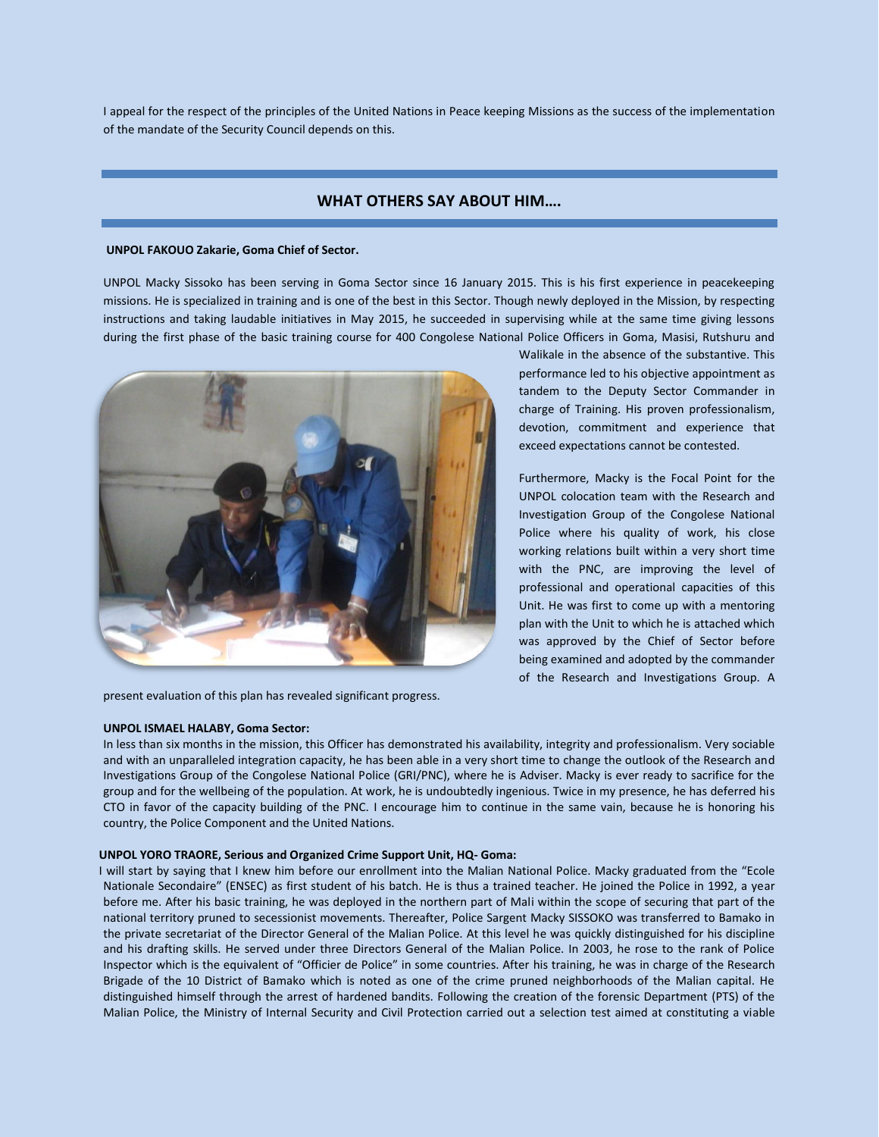I appeal for the respect of the principles of the United Nations in Peace keeping Missions as the success of the implementation of the mandate of the Security Council depends on this.

# **WHAT OTHERS SAY ABOUT HIM….**

### **UNPOL FAKOUO Zakarie, Goma Chief of Sector.**

UNPOL Macky Sissoko has been serving in Goma Sector since 16 January 2015. This is his first experience in peacekeeping missions. He is specialized in training and is one of the best in this Sector. Though newly deployed in the Mission, by respecting instructions and taking laudable initiatives in May 2015, he succeeded in supervising while at the same time giving lessons during the first phase of the basic training course for 400 Congolese National Police Officers in Goma, Masisi, Rutshuru and



present evaluation of this plan has revealed significant progress.

### **UNPOL ISMAEL HALABY, Goma Sector:**

Walikale in the absence of the substantive. This performance led to his objective appointment as tandem to the Deputy Sector Commander in charge of Training. His proven professionalism, devotion, commitment and experience that exceed expectations cannot be contested.

Furthermore, Macky is the Focal Point for the UNPOL colocation team with the Research and Investigation Group of the Congolese National Police where his quality of work, his close working relations built within a very short time with the PNC, are improving the level of professional and operational capacities of this Unit. He was first to come up with a mentoring plan with the Unit to which he is attached which was approved by the Chief of Sector before being examined and adopted by the commander of the Research and Investigations Group. A

In less than six months in the mission, this Officer has demonstrated his availability, integrity and professionalism. Very sociable and with an unparalleled integration capacity, he has been able in a very short time to change the outlook of the Research and Investigations Group of the Congolese National Police (GRI/PNC), where he is Adviser. Macky is ever ready to sacrifice for the group and for the wellbeing of the population. At work, he is undoubtedly ingenious. Twice in my presence, he has deferred his CTO in favor of the capacity building of the PNC. I encourage him to continue in the same vain, because he is honoring his country, the Police Component and the United Nations.

### **UNPOL YORO TRAORE, Serious and Organized Crime Support Unit, HQ- Goma:**

 I will start by saying that I knew him before our enrollment into the Malian National Police. Macky graduated from the "Ecole Nationale Secondaire" (ENSEC) as first student of his batch. He is thus a trained teacher. He joined the Police in 1992, a year before me. After his basic training, he was deployed in the northern part of Mali within the scope of securing that part of the national territory pruned to secessionist movements. Thereafter, Police Sargent Macky SISSOKO was transferred to Bamako in the private secretariat of the Director General of the Malian Police. At this level he was quickly distinguished for his discipline and his drafting skills. He served under three Directors General of the Malian Police. In 2003, he rose to the rank of Police Inspector which is the equivalent of "Officier de Police" in some countries. After his training, he was in charge of the Research Brigade of the 10 District of Bamako which is noted as one of the crime pruned neighborhoods of the Malian capital. He distinguished himself through the arrest of hardened bandits. Following the creation of the forensic Department (PTS) of the Malian Police, the Ministry of Internal Security and Civil Protection carried out a selection test aimed at constituting a viable